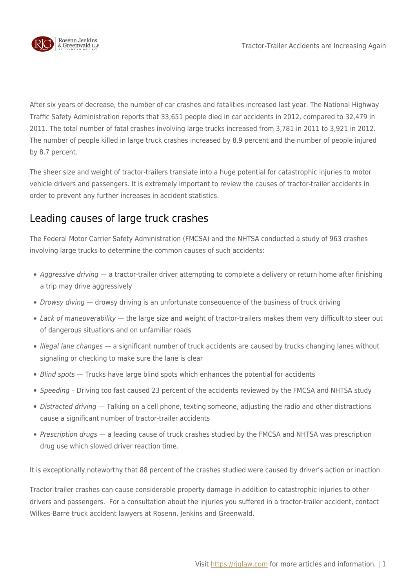

After six years of decrease, the number of car crashes and fatalities increased last year. The National Highway Traffic Safety Administration reports that 33,651 people died in car accidents in 2012, compared to 32,479 in 2011. The total number of fatal crashes involving large trucks increased from 3,781 in 2011 to 3,921 in 2012. The number of people killed in large truck crashes increased by 8.9 percent and the number of people injured by 8.7 percent.

The sheer size and weight of tractor-trailers translate into a huge potential for catastrophic injuries to motor vehicle drivers and passengers. It is extremely important to review the causes of tractor-trailer accidents in order to prevent any further increases in accident statistics.

## Leading causes of large truck crashes

The Federal Motor Carrier Safety Administration (FMCSA) and the NHTSA conducted a study of 963 crashes involving large trucks to determine the common causes of such accidents:

- Aggressive driving a tractor-trailer driver attempting to complete a delivery or return home after finishing a trip may drive aggressively
- Drowsy diving drowsy driving is an unfortunate consequence of the business of truck driving
- Lack of maneuverability the large size and weight of tractor-trailers makes them very difficult to steer out of dangerous situations and on unfamiliar roads
- Illegal lane changes a significant number of truck accidents are caused by trucks changing lanes without signaling or checking to make sure the lane is clear
- Blind spots Trucks have large blind spots which enhances the potential for accidents
- Speeding Driving too fast caused 23 percent of the accidents reviewed by the FMCSA and NHTSA study
- Distracted driving Talking on a cell phone, texting someone, adjusting the radio and other distractions cause a significant number of tractor-trailer accidents
- Prescription drugs a leading cause of truck crashes studied by the FMCSA and NHTSA was prescription drug use which slowed driver reaction time.

It is exceptionally noteworthy that 88 percent of the crashes studied were caused by driver's action or inaction.

Tractor-trailer crashes can cause considerable property damage in addition to catastrophic injuries to other drivers and passengers. For a consultation about the injuries you suffered in a tractor-trailer accident, contact Wilkes-Barre truck accident lawyers at Rosenn, Jenkins and Greenwald.